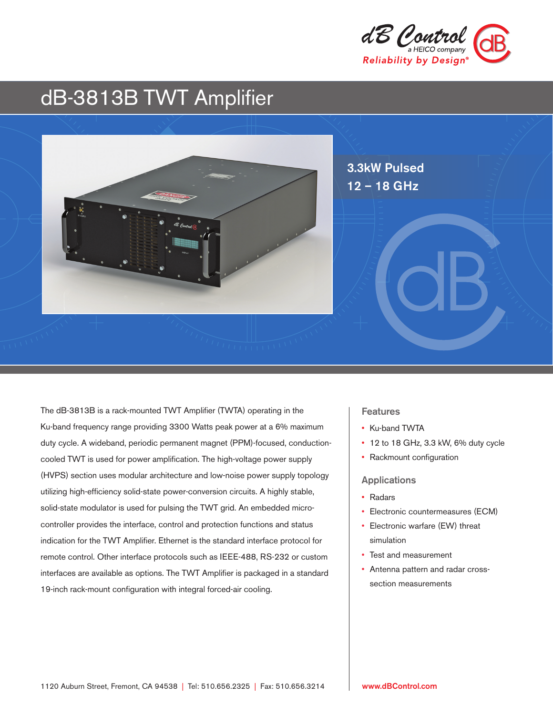

# dB-3813B TWT Amplifier



The dB-3813B is a rack-mounted TWT Amplifier (TWTA) operating in the Ku-band frequency range providing 3300 Watts peak power at a 6% maximum duty cycle. A wideband, periodic permanent magnet (PPM)-focused, conductioncooled TWT is used for power amplification. The high-voltage power supply (HVPS) section uses modular architecture and low-noise power supply topology utilizing high-efficiency solid-state power-conversion circuits. A highly stable, solid-state modulator is used for pulsing the TWT grid. An embedded microcontroller provides the interface, control and protection functions and status indication for the TWT Amplifier. Ethernet is the standard interface protocol for remote control. Other interface protocols such as IEEE-488, RS-232 or custom interfaces are available as options. The TWT Amplifier is packaged in a standard 19-inch rack-mount configuration with integral forced-air cooling.

# **Features**

- Ku-band TWTA
- 12 to 18 GHz, 3.3 kW, 6% duty cycle
- Rackmount configuration

#### Applications

- Radars
- Electronic countermeasures (ECM)
- Electronic warfare (EW) threat simulation
- Test and measurement
- Antenna pattern and radar crosssection measurements